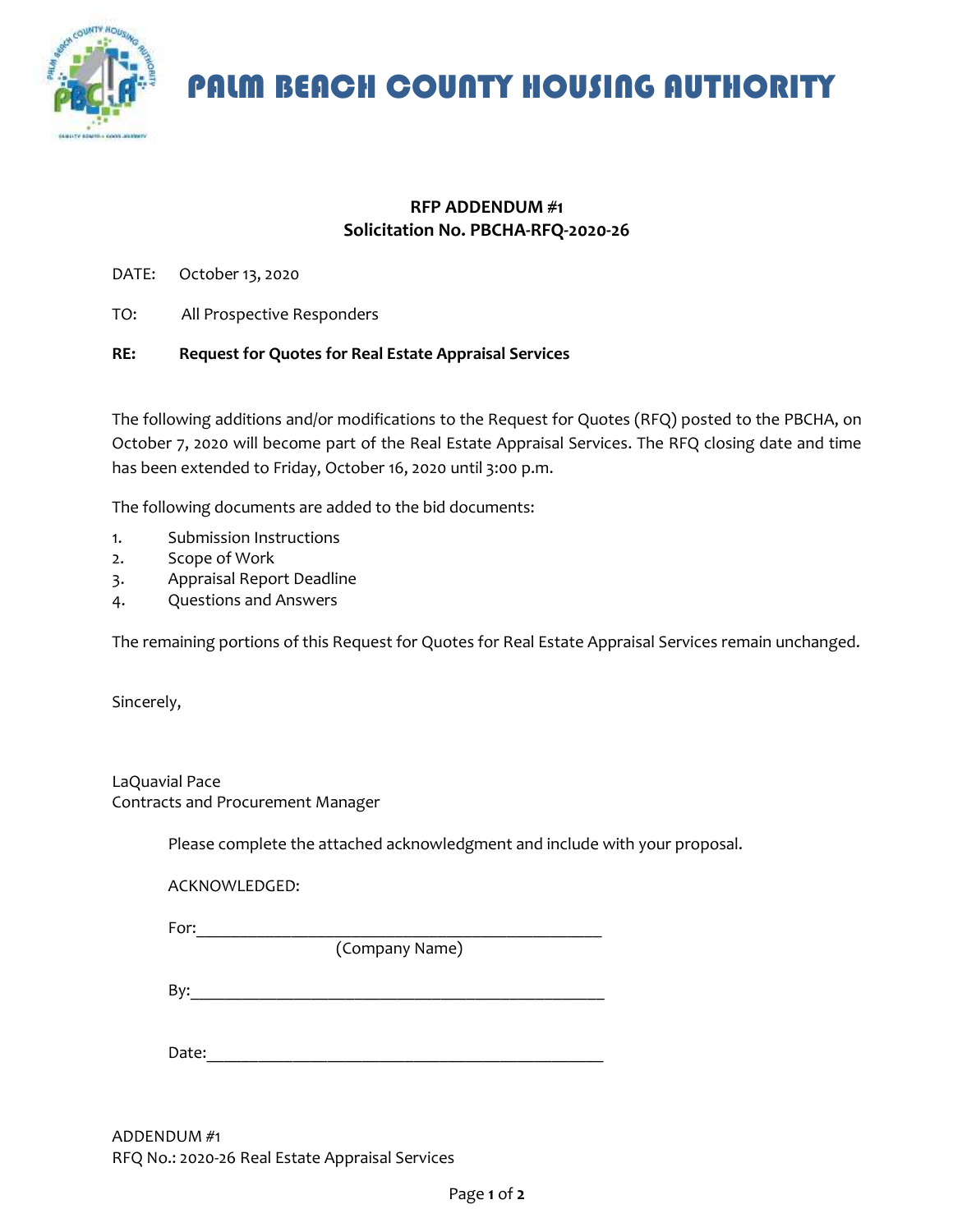

PALM BEACH COUNTY HOUSING AUTHORITY

### **RFP ADDENDUM #1 Solicitation No. PBCHA-RFQ-2020-26**

- DATE: October 13, 2020
- TO: All Prospective Responders

#### **RE: Request for Quotes for Real Estate Appraisal Services**

The following additions and/or modifications to the Request for Quotes (RFQ) posted to the PBCHA, on October 7, 2020 will become part of the Real Estate Appraisal Services. The RFQ closing date and time has been extended to Friday, October 16, 2020 until 3:00 p.m.

The following documents are added to the bid documents:

- 1. Submission Instructions
- 2. Scope of Work
- 3. Appraisal Report Deadline
- 4. Questions and Answers

The remaining portions of this Request for Quotes for Real Estate Appraisal Services remain unchanged.

Sincerely,

LaQuavial Pace Contracts and Procurement Manager

Please complete the attached acknowledgment and include with your proposal.

ACKNOWLEDGED:

For:  $\overline{\phantom{a}}$ 

(Company Name)

By:\_\_\_\_\_\_\_\_\_\_\_\_\_\_\_\_\_\_\_\_\_\_\_\_\_\_\_\_\_\_\_\_\_\_\_\_\_\_\_\_\_\_\_\_\_\_\_\_

Date:

ADDENDUM #1 RFQ No.: 2020-26 Real Estate Appraisal Services